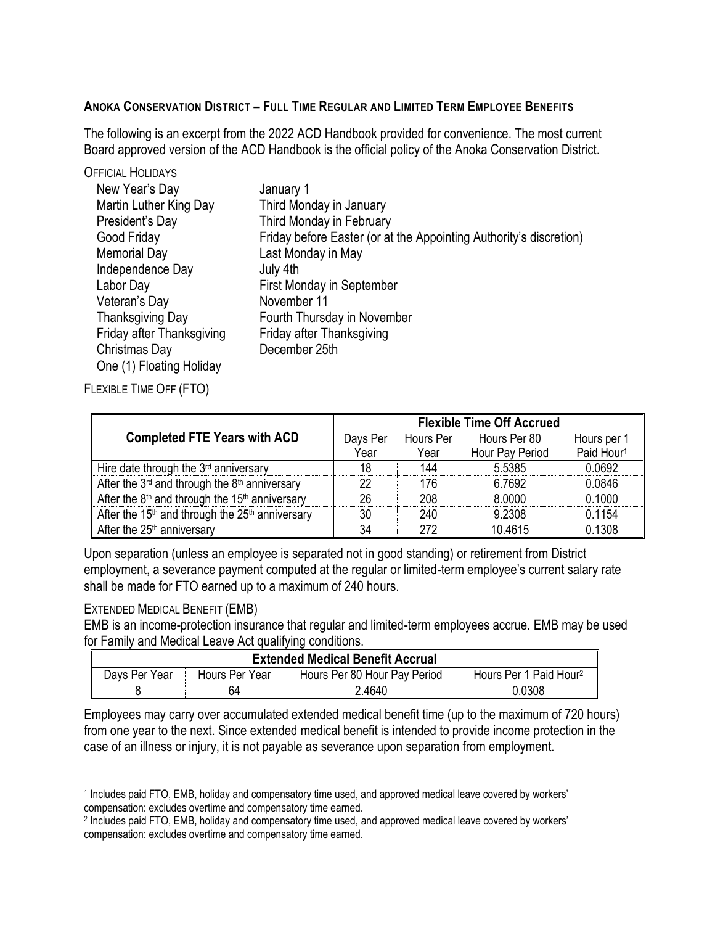# **ANOKA CONSERVATION DISTRICT - FULL TIME REGULAR AND LIMITED TERM EMPLOYEE BENEFITS**

The following is an excerpt from the 2022 ACD Handbook provided for convenience. The most current Board approved version of the ACD Handbook is the official policy of the Anoka Conservation District.

| <b>OFFICIAL HOLIDAYS</b>  |                                                                    |
|---------------------------|--------------------------------------------------------------------|
| New Year's Day            | January 1                                                          |
| Martin Luther King Day    | Third Monday in January                                            |
| President's Day           | Third Monday in February                                           |
| Good Friday               | Friday before Easter (or at the Appointing Authority's discretion) |
| <b>Memorial Day</b>       | Last Monday in May                                                 |
| Independence Day          | July 4th                                                           |
| Labor Day                 | First Monday in September                                          |
| Veteran's Day             | November 11                                                        |
| <b>Thanksgiving Day</b>   | Fourth Thursday in November                                        |
| Friday after Thanksgiving | Friday after Thanksgiving                                          |
| Christmas Day             | December 25th                                                      |
| One (1) Floating Holiday  |                                                                    |

FLEXIBLE TIME OFF (FTO)

|                                                                         | <b>Flexible Time Off Accrued</b> |           |                 |                        |
|-------------------------------------------------------------------------|----------------------------------|-----------|-----------------|------------------------|
| <b>Completed FTE Years with ACD</b>                                     | Days Per                         | Hours Per | Hours Per 80    | Hours per 1            |
|                                                                         | Year                             | Year      | Hour Pay Period | Paid Hour <sup>1</sup> |
| Hire date through the $3rd$ anniversary                                 | 18                               | 144       | 5.5385          | 0.0692                 |
| After the 3 <sup>rd</sup> and through the 8 <sup>th</sup> anniversary   | 22                               | 176       | 6.7692          | 0.0846                 |
| After the $8th$ and through the 15 <sup>th</sup> anniversary            | 26                               | 208       | 8.0000          | 0.1000                 |
| After the 15 <sup>th</sup> and through the 25 <sup>th</sup> anniversary | 30                               | 240       | 9.2308          | 0.1154                 |
| After the $25th$ anniversary                                            | 34                               | 272       | 10.4615         | 0.1308                 |

Upon separation (unless an employee is separated not in good standing) or retirement from District employment, a severance payment computed at the regular or limited-term employee's current salary rate shall be made for FTO earned up to a maximum of 240 hours.

## EXTENDED MEDICAL BENEFIT (EMB)

 $\overline{a}$ 

EMB is an income-protection insurance that regular and limited-term employees accrue. EMB may be used for Family and Medical Leave Act qualifying conditions.

| <b>Extended Medical Benefit Accrual</b> |                |                              |                                    |  |  |
|-----------------------------------------|----------------|------------------------------|------------------------------------|--|--|
| Days Per Year                           | Hours Per Year | Hours Per 80 Hour Pay Period | Hours Per 1 Paid Hour <sup>2</sup> |  |  |
|                                         | 64             | 2.4640                       | 0.0308                             |  |  |

Employees may carry over accumulated extended medical benefit time (up to the maximum of 720 hours) from one year to the next. Since extended medical benefit is intended to provide income protection in the case of an illness or injury, it is not payable as severance upon separation from employment.

<sup>1</sup> Includes paid FTO, EMB, holiday and compensatory time used, and approved medical leave covered by workers' compensation: excludes overtime and compensatory time earned.

<sup>2</sup> Includes paid FTO, EMB, holiday and compensatory time used, and approved medical leave covered by workers' compensation: excludes overtime and compensatory time earned.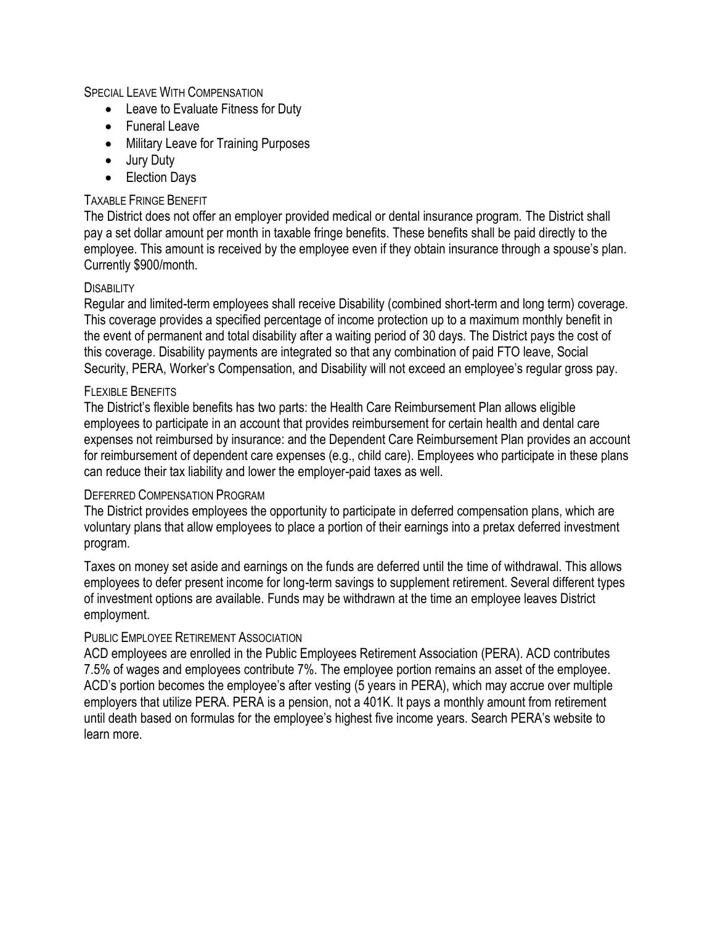## SPECIAL LEAVE WITH COMPENSATION

- Leave to Evaluate Fitness for Duty
- Funeral Leave
- Military Leave for Training Purposes
- Jury Duty
- Election Days

## TAXABLE FRINGE BENEFIT

The District does not offer an employer provided medical or dental insurance program. The District shall pay a set dollar amount per month in taxable fringe benefits. These benefits shall be paid directly to the employee. This amount is received by the employee even if they obtain insurance through a spouse's plan. Currently \$900/month.

### **DISABILITY**

Regular and limited-term employees shall receive Disability (combined short-term and long term) coverage. This coverage provides a specified percentage of income protection up to a maximum monthly benefit in the event of permanent and total disability after a waiting period of 30 days. The District pays the cost of this coverage. Disability payments are integrated so that any combination of paid FTO leave, Social Security, PERA, Worker's Compensation, and Disability will not exceed an employee's regular gross pay.

### FLEXIBLE BENEFITS

The District's flexible benefits has two parts: the Health Care Reimbursement Plan allows eligible employees to participate in an account that provides reimbursement for certain health and dental care expenses not reimbursed by insurance: and the Dependent Care Reimbursement Plan provides an account for reimbursement of dependent care expenses (e.g., child care). Employees who participate in these plans can reduce their tax liability and lower the employer-paid taxes as well.

#### DEFERRED COMPENSATION PROGRAM

The District provides employees the opportunity to participate in deferred compensation plans, which are voluntary plans that allow employees to place a portion of their earnings into a pretax deferred investment program.

Taxes on money set aside and earnings on the funds are deferred until the time of withdrawal. This allows employees to defer present income for long-term savings to supplement retirement. Several different types of investment options are available. Funds may be withdrawn at the time an employee leaves District employment.

## PUBLIC EMPLOYEE RETIREMENT ASSOCIATION

ACD employees are enrolled in the Public Employees Retirement Association (PERA). ACD contributes 7.5% of wages and employees contribute 7%. The employee portion remains an asset of the employee. ACD's portion becomes the employee's after vesting (5 years in PERA), which may accrue over multiple employers that utilize PERA. PERA is a pension, not a 401K. It pays a monthly amount from retirement until death based on formulas for the employee's highest five income years. Search PERA's website to learn more.